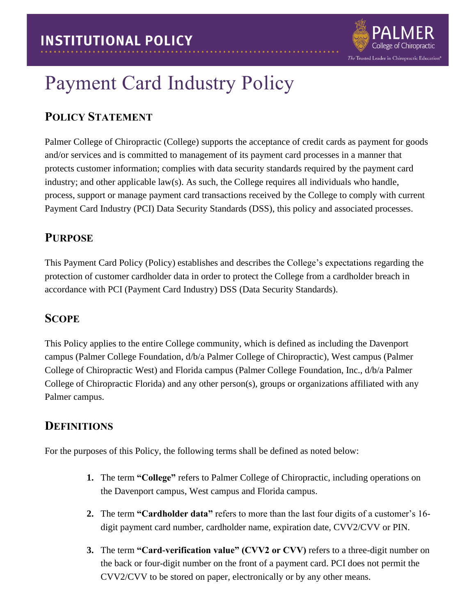

# Payment Card Industry Policy

# **POLICY STATEMENT**

Palmer College of Chiropractic (College) supports the acceptance of credit cards as payment for goods and/or services and is committed to management of its payment card processes in a manner that protects customer information; complies with data security standards required by the payment card industry; and other applicable law(s). As such, the College requires all individuals who handle, process, support or manage payment card transactions received by the College to comply with current Payment Card Industry (PCI) Data Security Standards (DSS), this policy and associated processes.

# **PURPOSE**

This Payment Card Policy (Policy) establishes and describes the College's expectations regarding the protection of customer cardholder data in order to protect the College from a cardholder breach in accordance with PCI (Payment Card Industry) DSS (Data Security Standards).

## **SCOPE**

This Policy applies to the entire College community, which is defined as including the Davenport campus (Palmer College Foundation, d/b/a Palmer College of Chiropractic), West campus (Palmer College of Chiropractic West) and Florida campus (Palmer College Foundation, Inc., d/b/a Palmer College of Chiropractic Florida) and any other person(s), groups or organizations affiliated with any Palmer campus.

# **DEFINITIONS**

For the purposes of this Policy, the following terms shall be defined as noted below:

- **1.** The term **"College"** refers to Palmer College of Chiropractic, including operations on the Davenport campus, West campus and Florida campus.
- **2.** The term **"Cardholder data"** refers to more than the last four digits of a customer's 16 digit payment card number, cardholder name, expiration date, CVV2/CVV or PIN.
- **3.** The term **"Card-verification value" (CVV2 or CVV)** refers to a three-digit number on the back or four-digit number on the front of a payment card. PCI does not permit the CVV2/CVV to be stored on paper, electronically or by any other means.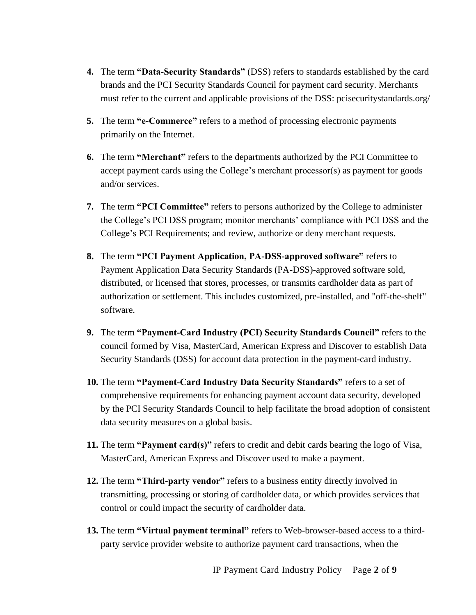- **4.** The term **"Data-Security Standards"** (DSS) refers to standards established by the card brands and the PCI Security Standards Council for payment card security. Merchants must refer to the current and applicable provisions of the DSS: pcisecuritystandards.org/
- **5.** The term **"e-Commerce"** refers to a method of processing electronic payments primarily on the Internet.
- **6.** The term **"Merchant"** refers to the departments authorized by the PCI Committee to accept payment cards using the College's merchant processor(s) as payment for goods and/or services.
- **7.** The term **"PCI Committee"** refers to persons authorized by the College to administer the College's PCI DSS program; monitor merchants' compliance with PCI DSS and the College's PCI Requirements; and review, authorize or deny merchant requests.
- **8.** The term **"PCI Payment Application, PA-DSS-approved software"** refers to Payment Application Data Security Standards (PA-DSS)-approved software sold, distributed, or licensed that stores, processes, or transmits cardholder data as part of authorization or settlement. This includes customized, pre-installed, and "off-the-shelf" software.
- **9.** The term **"Payment-Card Industry (PCI) Security Standards Council"** refers to the council formed by Visa, MasterCard, American Express and Discover to establish Data Security Standards (DSS) for account data protection in the payment-card industry.
- **10.** The term **"Payment-Card Industry Data Security Standards"** refers to a set of comprehensive requirements for enhancing payment account data security, developed by the PCI Security Standards Council to help facilitate the broad adoption of consistent data security measures on a global basis.
- **11.** The term **"Payment card(s)"** refers to credit and debit cards bearing the logo of Visa, MasterCard, American Express and Discover used to make a payment.
- **12.** The term **"Third-party vendor"** refers to a business entity directly involved in transmitting, processing or storing of cardholder data, or which provides services that control or could impact the security of cardholder data.
- **13.** The term **"Virtual payment terminal"** refers to Web-browser-based access to a thirdparty service provider website to authorize payment card transactions, when the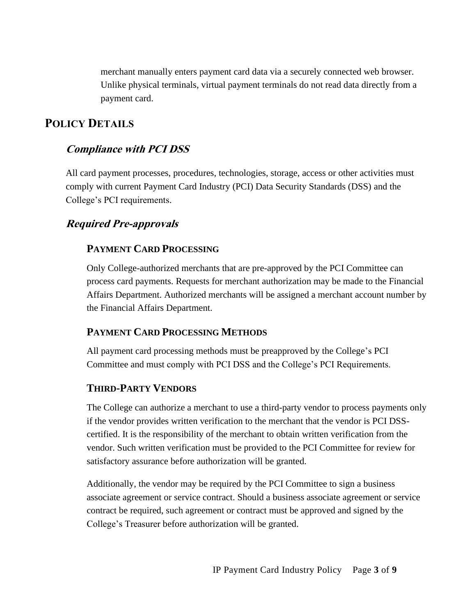merchant manually enters payment card data via a securely connected web browser. Unlike physical terminals, virtual payment terminals do not read data directly from a payment card.

## **POLICY DETAILS**

### **Compliance with PCI DSS**

All card payment processes, procedures, technologies, storage, access or other activities must comply with current Payment Card Industry (PCI) Data Security Standards (DSS) and the College's PCI requirements.

#### **Required Pre-approvals**

#### **PAYMENT CARD PROCESSING**

Only College-authorized merchants that are pre-approved by the PCI Committee can process card payments. Requests for merchant authorization may be made to the Financial Affairs Department. Authorized merchants will be assigned a merchant account number by the Financial Affairs Department.

#### **PAYMENT CARD PROCESSING METHODS**

All payment card processing methods must be preapproved by the College's PCI Committee and must comply with PCI DSS and the College's PCI Requirements.

#### **THIRD-PARTY VENDORS**

The College can authorize a merchant to use a third-party vendor to process payments only if the vendor provides written verification to the merchant that the vendor is PCI DSScertified. It is the responsibility of the merchant to obtain written verification from the vendor. Such written verification must be provided to the PCI Committee for review for satisfactory assurance before authorization will be granted.

Additionally, the vendor may be required by the PCI Committee to sign a business associate agreement or service contract. Should a business associate agreement or service contract be required, such agreement or contract must be approved and signed by the College's Treasurer before authorization will be granted.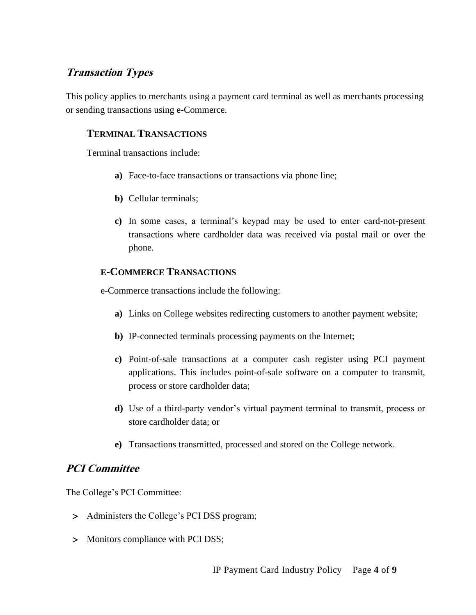## **Transaction Types**

This policy applies to merchants using a payment card terminal as well as merchants processing or sending transactions using e-Commerce.

### **TERMINAL TRANSACTIONS**

Terminal transactions include:

- **a)** Face-to-face transactions or transactions via phone line;
- **b)** Cellular terminals;
- **c)** In some cases, a terminal's keypad may be used to enter card-not-present transactions where cardholder data was received via postal mail or over the phone.

#### **E-COMMERCE TRANSACTIONS**

e-Commerce transactions include the following:

- **a)** Links on College websites redirecting customers to another payment website;
- **b)** IP-connected terminals processing payments on the Internet;
- **c)** Point-of-sale transactions at a computer cash register using PCI payment applications. This includes point-of-sale software on a computer to transmit, process or store cardholder data;
- **d)** Use of a third-party vendor's virtual payment terminal to transmit, process or store cardholder data; or
- **e)** Transactions transmitted, processed and stored on the College network.

#### **PCI Committee**

The College's PCI Committee:

- > Administers the College's PCI DSS program;
- > Monitors compliance with PCI DSS;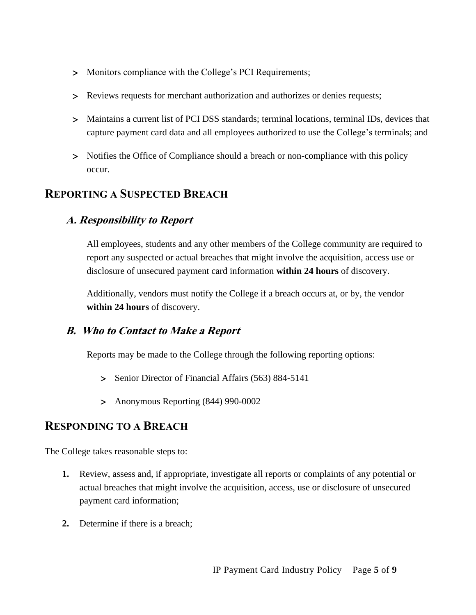- > Monitors compliance with the College's PCI Requirements;
- Reviews requests for merchant authorization and authorizes or denies requests;
- Maintains a current list of PCI DSS standards; terminal locations, terminal IDs, devices that capture payment card data and all employees authorized to use the College's terminals; and
- > Notifies the Office of Compliance should a breach or non-compliance with this policy occur.

## **REPORTING A SUSPECTED BREACH**

## **A. Responsibility to Report**

All employees, students and any other members of the College community are required to report any suspected or actual breaches that might involve the acquisition, access use or disclosure of unsecured payment card information **within 24 hours** of discovery.

Additionally, vendors must notify the College if a breach occurs at, or by, the vendor **within 24 hours** of discovery.

## **B. Who to Contact to Make a Report**

Reports may be made to the College through the following reporting options:

- > Senior Director of Financial Affairs (563) 884-5141
- Anonymous Reporting (844) 990-0002

## **RESPONDING TO A BREACH**

The College takes reasonable steps to:

- **1.** Review, assess and, if appropriate, investigate all reports or complaints of any potential or actual breaches that might involve the acquisition, access, use or disclosure of unsecured payment card information;
- **2.** Determine if there is a breach;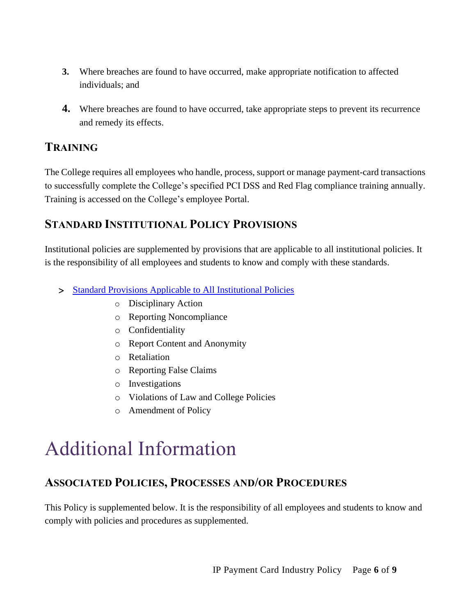- **3.** Where breaches are found to have occurred, make appropriate notification to affected individuals; and
- **4.** Where breaches are found to have occurred, take appropriate steps to prevent its recurrence and remedy its effects.

## **TRAINING**

The College requires all employees who handle, process, support or manage payment-card transactions to successfully complete the College's specified PCI DSS and Red Flag compliance training annually. Training is accessed on the College's employee Portal.

## **STANDARD INSTITUTIONAL POLICY PROVISIONS**

Institutional policies are supplemented by provisions that are applicable to all institutional policies. It is the responsibility of all employees and students to know and comply with these standards.

- > [Standard Provisions Applicable to All Institutional Policies](http://www.palmer.edu/uploadedFiles/Pages/Students/Resources_and_Offices/Handbook_and_Policies/_pdf/Standard-Provisions-Applicable-to-All-Institutional-Policies.pdf)
	- o Disciplinary Action
	- o Reporting Noncompliance
	- o Confidentiality
	- o Report Content and Anonymity
	- o Retaliation
	- o Reporting False Claims
	- o Investigations
	- o Violations of Law and College Policies
	- o Amendment of Policy

# Additional Information

## **ASSOCIATED POLICIES, PROCESSES AND/OR PROCEDURES**

This Policy is supplemented below. It is the responsibility of all employees and students to know and comply with policies and procedures as supplemented.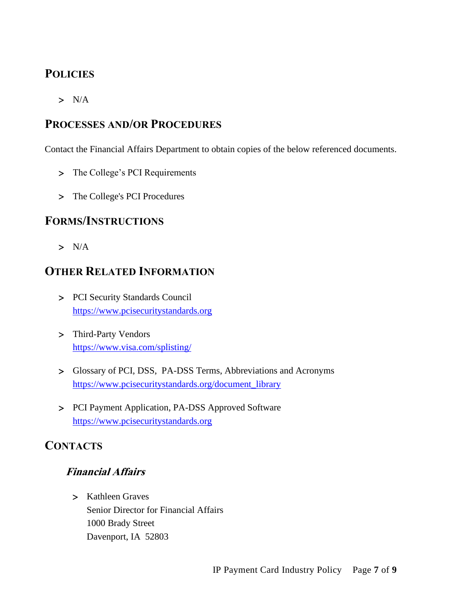# **POLICIES**

 $> N/A$ 

## **PROCESSES AND/OR PROCEDURES**

Contact the Financial Affairs Department to obtain copies of the below referenced documents.

- > The College's PCI Requirements
- > The College's PCI Procedures

## **FORMS/INSTRUCTIONS**

 $> N/A$ 

## **OTHER RELATED INFORMATION**

- PCI Security Standards Council [https://www.pcisecuritystandards.org](https://www.pcisecuritystandards.org/)
- Third-Party Vendors <https://www.visa.com/splisting/>
- Glossary of PCI, DSS, PA-DSS Terms, Abbreviations and Acronyms [https://www.pcisecuritystandards.org/document\\_library](https://www.pcisecuritystandards.org/document_library)
- > PCI Payment Application, PA-DSS Approved Software [https://www.pcisecuritystandards.org](https://www.pcisecuritystandards.org/)

# **CONTACTS**

## **Financial Affairs**

> Kathleen Graves Senior Director for Financial Affairs 1000 Brady Street Davenport, IA 52803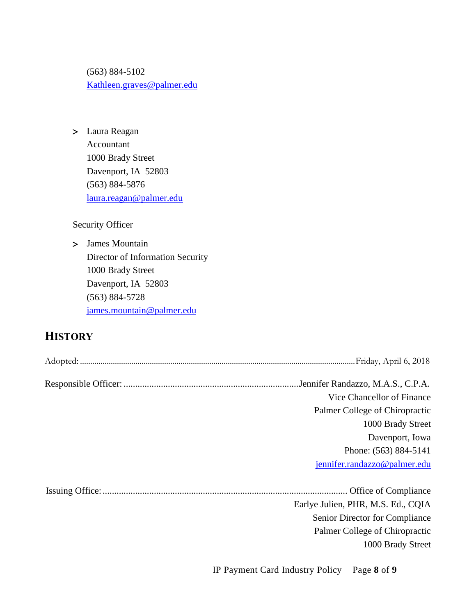(563) 884-5102 [Kathleen.graves@palmer.edu](mailto:Kathleen.graves@palmer.edu)

 Laura Reagan Accountant 1000 Brady Street Davenport, IA 52803 (563) 884-5876 [laura.reagan@palmer.edu](mailto:laura.reagan@palmer.edu)

Security Officer

> James Mountain Director of Information Security 1000 Brady Street Davenport, IA 52803 (563) 884-5728 [james.mountain@palmer.edu](mailto:james.mountain@palmer.edu)

# **HISTORY**

| Vice Chancellor of Finance         |
|------------------------------------|
| Palmer College of Chiropractic     |
| 1000 Brady Street                  |
| Davenport, Iowa                    |
| Phone: (563) 884-5141              |
| jennifer.randazzo@palmer.edu       |
|                                    |
| Earlye Julien, PHR, M.S. Ed., CQIA |
| Senior Director for Compliance     |
| Palmer College of Chiropractic     |
| 1000 Brady Street                  |
|                                    |